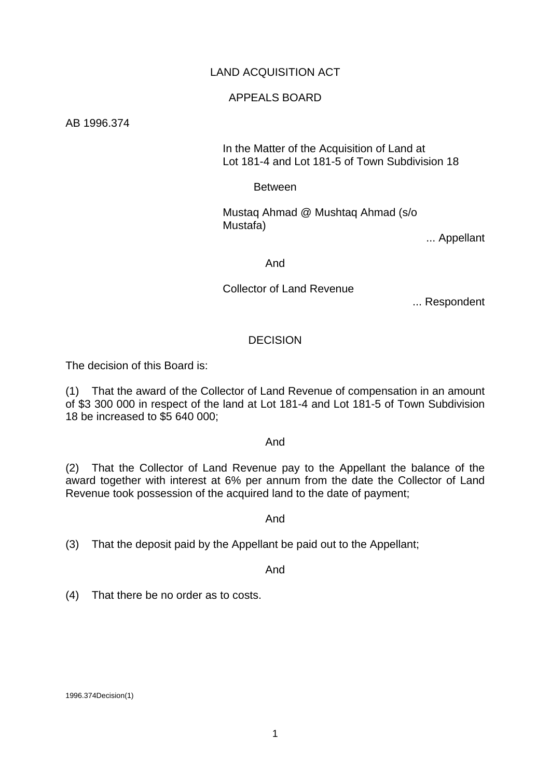### LAND ACQUISITION ACT

#### APPEALS BOARD

AB 1996.374

 In the Matter of the Acquisition of Land at Lot 181-4 and Lot 181-5 of Town Subdivision 18

Between

 Mustaq Ahmad @ Mushtaq Ahmad (s/o Mustafa)

... Appellant

And

Collector of Land Revenue

... Respondent

#### **DECISION**

The decision of this Board is:

(1) That the award of the Collector of Land Revenue of compensation in an amount of \$3 300 000 in respect of the land at Lot 181-4 and Lot 181-5 of Town Subdivision 18 be increased to \$5 640 000;

#### And

(2) That the Collector of Land Revenue pay to the Appellant the balance of the award together with interest at 6% per annum from the date the Collector of Land Revenue took possession of the acquired land to the date of payment;

And

(3) That the deposit paid by the Appellant be paid out to the Appellant;

And

(4) That there be no order as to costs.

1996.374Decision(1)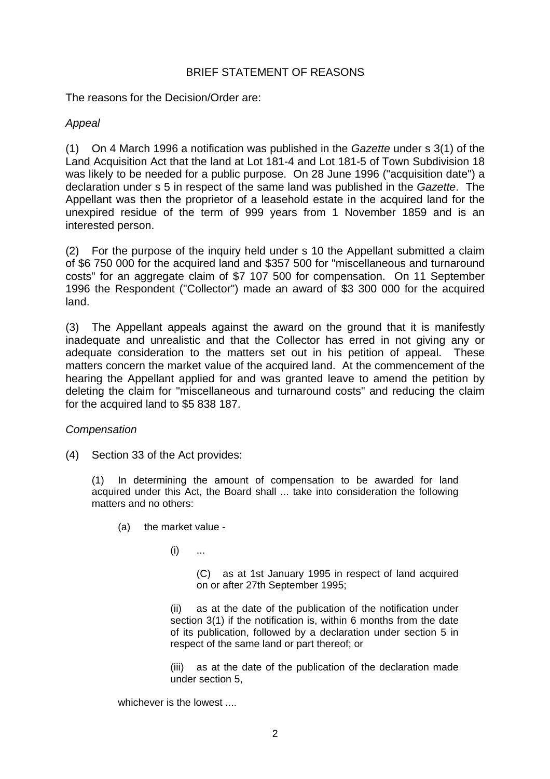### BRIEF STATEMENT OF REASONS

The reasons for the Decision/Order are:

### *Appeal*

(1) On 4 March 1996 a notification was published in the *Gazette* under s 3(1) of the Land Acquisition Act that the land at Lot 181-4 and Lot 181-5 of Town Subdivision 18 was likely to be needed for a public purpose. On 28 June 1996 ("acquisition date") a declaration under s 5 in respect of the same land was published in the *Gazette*. The Appellant was then the proprietor of a leasehold estate in the acquired land for the unexpired residue of the term of 999 years from 1 November 1859 and is an interested person.

(2) For the purpose of the inquiry held under s 10 the Appellant submitted a claim of \$6 750 000 for the acquired land and \$357 500 for "miscellaneous and turnaround costs" for an aggregate claim of \$7 107 500 for compensation. On 11 September 1996 the Respondent ("Collector") made an award of \$3 300 000 for the acquired land.

(3) The Appellant appeals against the award on the ground that it is manifestly inadequate and unrealistic and that the Collector has erred in not giving any or adequate consideration to the matters set out in his petition of appeal. These matters concern the market value of the acquired land. At the commencement of the hearing the Appellant applied for and was granted leave to amend the petition by deleting the claim for "miscellaneous and turnaround costs" and reducing the claim for the acquired land to \$5 838 187.

#### *Compensation*

(4) Section 33 of the Act provides:

(1) In determining the amount of compensation to be awarded for land acquired under this Act, the Board shall ... take into consideration the following matters and no others:

(a) the market value -

 $(i)$  ...

 (C) as at 1st January 1995 in respect of land acquired on or after 27th September 1995;

 (ii) as at the date of the publication of the notification under section 3(1) if the notification is, within 6 months from the date of its publication, followed by a declaration under section 5 in respect of the same land or part thereof; or

 (iii) as at the date of the publication of the declaration made under section 5,

whichever is the lowest ....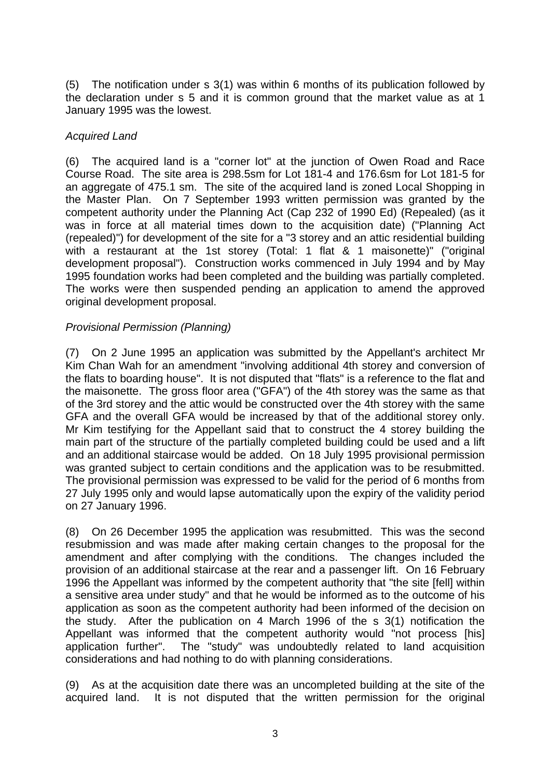(5) The notification under s 3(1) was within 6 months of its publication followed by the declaration under s 5 and it is common ground that the market value as at 1 January 1995 was the lowest.

# *Acquired Land*

(6) The acquired land is a "corner lot" at the junction of Owen Road and Race Course Road. The site area is 298.5sm for Lot 181-4 and 176.6sm for Lot 181-5 for an aggregate of 475.1 sm. The site of the acquired land is zoned Local Shopping in the Master Plan. On 7 September 1993 written permission was granted by the competent authority under the Planning Act (Cap 232 of 1990 Ed) (Repealed) (as it was in force at all material times down to the acquisition date) ("Planning Act (repealed)") for development of the site for a "3 storey and an attic residential building with a restaurant at the 1st storey (Total: 1 flat & 1 maisonette)" ("original development proposal"). Construction works commenced in July 1994 and by May 1995 foundation works had been completed and the building was partially completed. The works were then suspended pending an application to amend the approved original development proposal.

# *Provisional Permission (Planning)*

(7) On 2 June 1995 an application was submitted by the Appellant's architect Mr Kim Chan Wah for an amendment "involving additional 4th storey and conversion of the flats to boarding house". It is not disputed that "flats" is a reference to the flat and the maisonette. The gross floor area ("GFA") of the 4th storey was the same as that of the 3rd storey and the attic would be constructed over the 4th storey with the same GFA and the overall GFA would be increased by that of the additional storey only. Mr Kim testifying for the Appellant said that to construct the 4 storey building the main part of the structure of the partially completed building could be used and a lift and an additional staircase would be added. On 18 July 1995 provisional permission was granted subject to certain conditions and the application was to be resubmitted. The provisional permission was expressed to be valid for the period of 6 months from 27 July 1995 only and would lapse automatically upon the expiry of the validity period on 27 January 1996.

(8) On 26 December 1995 the application was resubmitted. This was the second resubmission and was made after making certain changes to the proposal for the amendment and after complying with the conditions. The changes included the provision of an additional staircase at the rear and a passenger lift. On 16 February 1996 the Appellant was informed by the competent authority that "the site [fell] within a sensitive area under study" and that he would be informed as to the outcome of his application as soon as the competent authority had been informed of the decision on the study. After the publication on 4 March 1996 of the s 3(1) notification the Appellant was informed that the competent authority would "not process [his] application further". The "study" was undoubtedly related to land acquisition considerations and had nothing to do with planning considerations.

(9) As at the acquisition date there was an uncompleted building at the site of the acquired land. It is not disputed that the written permission for the original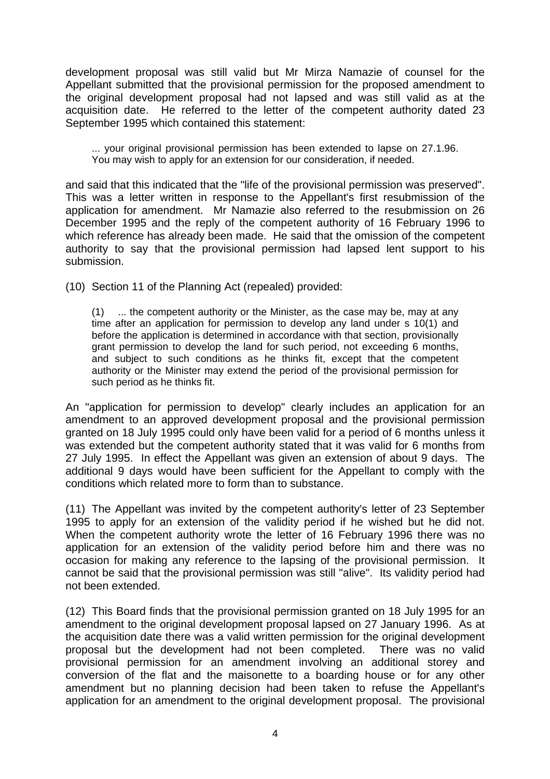development proposal was still valid but Mr Mirza Namazie of counsel for the Appellant submitted that the provisional permission for the proposed amendment to the original development proposal had not lapsed and was still valid as at the acquisition date. He referred to the letter of the competent authority dated 23 September 1995 which contained this statement:

... your original provisional permission has been extended to lapse on 27.1.96. You may wish to apply for an extension for our consideration, if needed.

and said that this indicated that the "life of the provisional permission was preserved". This was a letter written in response to the Appellant's first resubmission of the application for amendment. Mr Namazie also referred to the resubmission on 26 December 1995 and the reply of the competent authority of 16 February 1996 to which reference has already been made. He said that the omission of the competent authority to say that the provisional permission had lapsed lent support to his submission.

(10) Section 11 of the Planning Act (repealed) provided:

(1) ... the competent authority or the Minister, as the case may be, may at any time after an application for permission to develop any land under s 10(1) and before the application is determined in accordance with that section, provisionally grant permission to develop the land for such period, not exceeding 6 months, and subject to such conditions as he thinks fit, except that the competent authority or the Minister may extend the period of the provisional permission for such period as he thinks fit.

An "application for permission to develop" clearly includes an application for an amendment to an approved development proposal and the provisional permission granted on 18 July 1995 could only have been valid for a period of 6 months unless it was extended but the competent authority stated that it was valid for 6 months from 27 July 1995. In effect the Appellant was given an extension of about 9 days. The additional 9 days would have been sufficient for the Appellant to comply with the conditions which related more to form than to substance.

(11) The Appellant was invited by the competent authority's letter of 23 September 1995 to apply for an extension of the validity period if he wished but he did not. When the competent authority wrote the letter of 16 February 1996 there was no application for an extension of the validity period before him and there was no occasion for making any reference to the lapsing of the provisional permission. It cannot be said that the provisional permission was still "alive". Its validity period had not been extended.

(12) This Board finds that the provisional permission granted on 18 July 1995 for an amendment to the original development proposal lapsed on 27 January 1996. As at the acquisition date there was a valid written permission for the original development proposal but the development had not been completed. There was no valid provisional permission for an amendment involving an additional storey and conversion of the flat and the maisonette to a boarding house or for any other amendment but no planning decision had been taken to refuse the Appellant's application for an amendment to the original development proposal. The provisional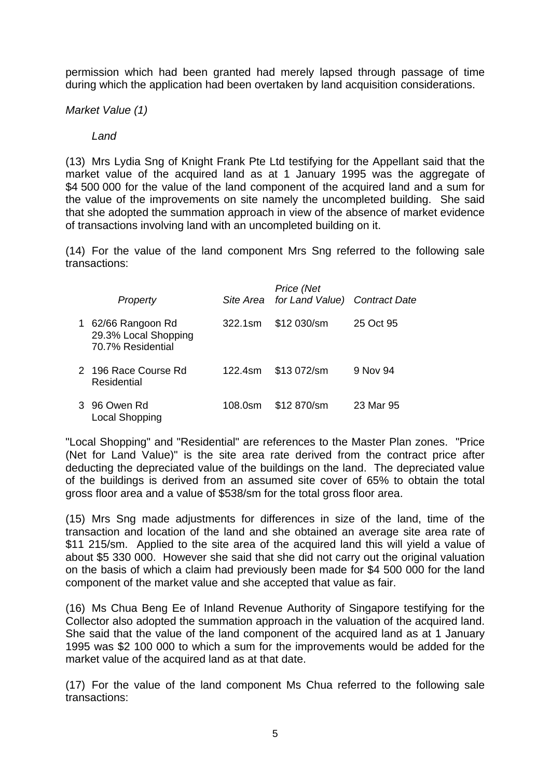permission which had been granted had merely lapsed through passage of time during which the application had been overtaken by land acquisition considerations.

*Market Value (1)* 

# *Land*

(13) Mrs Lydia Sng of Knight Frank Pte Ltd testifying for the Appellant said that the market value of the acquired land as at 1 January 1995 was the aggregate of \$4 500 000 for the value of the land component of the acquired land and a sum for the value of the improvements on site namely the uncompleted building. She said that she adopted the summation approach in view of the absence of market evidence of transactions involving land with an uncompleted building on it.

(14) For the value of the land component Mrs Sng referred to the following sale transactions:

|   | Property                                                      |         | Price (Net<br>Site Area for Land Value) Contract Date |           |
|---|---------------------------------------------------------------|---------|-------------------------------------------------------|-----------|
| 1 | 62/66 Rangoon Rd<br>29.3% Local Shopping<br>70.7% Residential | 322.1sm | \$12 030/sm                                           | 25 Oct 95 |
|   | 2 196 Race Course Rd<br>Residential                           | 122.4sm | \$13 072/sm                                           | 9 Nov 94  |
|   | 3 96 Owen Rd<br><b>Local Shopping</b>                         | 108.0sm | \$12 870/sm                                           | 23 Mar 95 |

"Local Shopping" and "Residential" are references to the Master Plan zones. "Price (Net for Land Value)" is the site area rate derived from the contract price after deducting the depreciated value of the buildings on the land. The depreciated value of the buildings is derived from an assumed site cover of 65% to obtain the total gross floor area and a value of \$538/sm for the total gross floor area.

(15) Mrs Sng made adjustments for differences in size of the land, time of the transaction and location of the land and she obtained an average site area rate of \$11 215/sm. Applied to the site area of the acquired land this will yield a value of about \$5 330 000. However she said that she did not carry out the original valuation on the basis of which a claim had previously been made for \$4 500 000 for the land component of the market value and she accepted that value as fair.

(16) Ms Chua Beng Ee of Inland Revenue Authority of Singapore testifying for the Collector also adopted the summation approach in the valuation of the acquired land. She said that the value of the land component of the acquired land as at 1 January 1995 was \$2 100 000 to which a sum for the improvements would be added for the market value of the acquired land as at that date.

(17) For the value of the land component Ms Chua referred to the following sale transactions: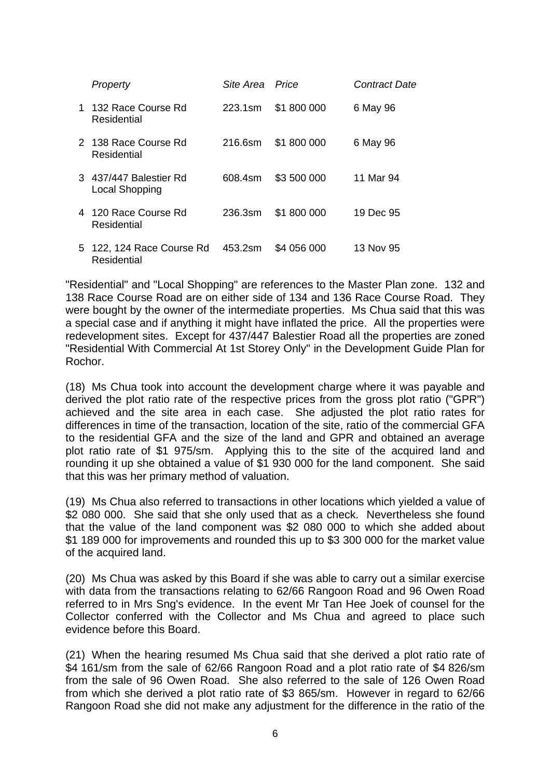| Property                                 | Site Area - Price |             | <i>Contract Date</i> |
|------------------------------------------|-------------------|-------------|----------------------|
| 1 132 Race Course Rd<br>Residential      | 223.1sm           | \$1800000   | 6 May 96             |
| 2 138 Race Course Rd<br>Residential      | 216.6sm           | \$1800000   | 6 May 96             |
| 3 437/447 Balestier Rd<br>Local Shopping | 608.4sm           | \$3 500 000 | 11 Mar 94            |
| 4 120 Race Course Rd<br>Residential      | 236.3sm           | \$1800000   | 19 Dec 95            |
| 5 122, 124 Race Course Rd<br>Residential | 453.2sm           | \$4 056 000 | 13 Nov 95            |

"Residential" and "Local Shopping" are references to the Master Plan zone. 132 and 138 Race Course Road are on either side of 134 and 136 Race Course Road. They were bought by the owner of the intermediate properties. Ms Chua said that this was a special case and if anything it might have inflated the price. All the properties were redevelopment sites. Except for 437/447 Balestier Road all the properties are zoned "Residential With Commercial At 1st Storey Only" in the Development Guide Plan for Rochor.

(18) Ms Chua took into account the development charge where it was payable and derived the plot ratio rate of the respective prices from the gross plot ratio ("GPR") achieved and the site area in each case. She adjusted the plot ratio rates for differences in time of the transaction, location of the site, ratio of the commercial GFA to the residential GFA and the size of the land and GPR and obtained an average plot ratio rate of \$1 975/sm. Applying this to the site of the acquired land and rounding it up she obtained a value of \$1 930 000 for the land component. She said that this was her primary method of valuation.

(19) Ms Chua also referred to transactions in other locations which yielded a value of \$2 080 000. She said that she only used that as a check. Nevertheless she found that the value of the land component was \$2 080 000 to which she added about \$1 189 000 for improvements and rounded this up to \$3 300 000 for the market value of the acquired land.

(20) Ms Chua was asked by this Board if she was able to carry out a similar exercise with data from the transactions relating to 62/66 Rangoon Road and 96 Owen Road referred to in Mrs Sng's evidence. In the event Mr Tan Hee Joek of counsel for the Collector conferred with the Collector and Ms Chua and agreed to place such evidence before this Board.

(21) When the hearing resumed Ms Chua said that she derived a plot ratio rate of \$4 161/sm from the sale of 62/66 Rangoon Road and a plot ratio rate of \$4 826/sm from the sale of 96 Owen Road. She also referred to the sale of 126 Owen Road from which she derived a plot ratio rate of \$3 865/sm. However in regard to 62/66 Rangoon Road she did not make any adjustment for the difference in the ratio of the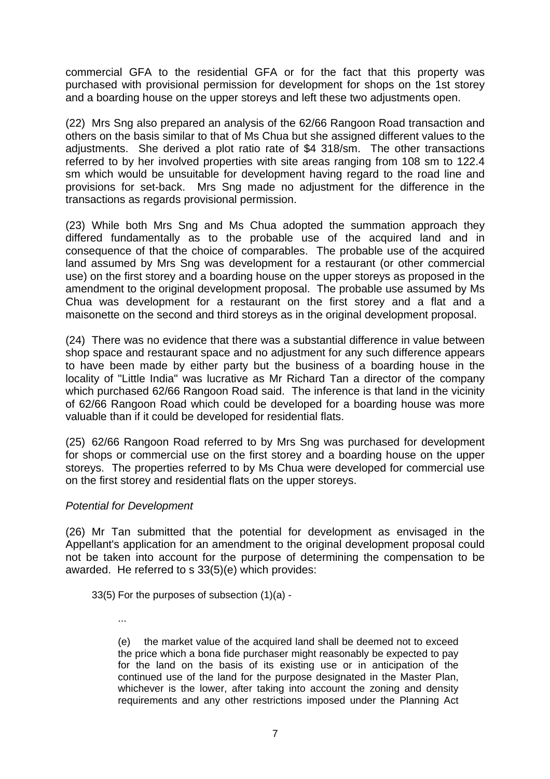commercial GFA to the residential GFA or for the fact that this property was purchased with provisional permission for development for shops on the 1st storey and a boarding house on the upper storeys and left these two adjustments open.

(22) Mrs Sng also prepared an analysis of the 62/66 Rangoon Road transaction and others on the basis similar to that of Ms Chua but she assigned different values to the adjustments. She derived a plot ratio rate of \$4 318/sm. The other transactions referred to by her involved properties with site areas ranging from 108 sm to 122.4 sm which would be unsuitable for development having regard to the road line and provisions for set-back. Mrs Sng made no adjustment for the difference in the transactions as regards provisional permission.

(23) While both Mrs Sng and Ms Chua adopted the summation approach they differed fundamentally as to the probable use of the acquired land and in consequence of that the choice of comparables. The probable use of the acquired land assumed by Mrs Sng was development for a restaurant (or other commercial use) on the first storey and a boarding house on the upper storeys as proposed in the amendment to the original development proposal. The probable use assumed by Ms Chua was development for a restaurant on the first storey and a flat and a maisonette on the second and third storeys as in the original development proposal.

(24) There was no evidence that there was a substantial difference in value between shop space and restaurant space and no adjustment for any such difference appears to have been made by either party but the business of a boarding house in the locality of "Little India" was lucrative as Mr Richard Tan a director of the company which purchased 62/66 Rangoon Road said. The inference is that land in the vicinity of 62/66 Rangoon Road which could be developed for a boarding house was more valuable than if it could be developed for residential flats.

(25) 62/66 Rangoon Road referred to by Mrs Sng was purchased for development for shops or commercial use on the first storey and a boarding house on the upper storeys. The properties referred to by Ms Chua were developed for commercial use on the first storey and residential flats on the upper storeys.

### *Potential for Development*

(26) Mr Tan submitted that the potential for development as envisaged in the Appellant's application for an amendment to the original development proposal could not be taken into account for the purpose of determining the compensation to be awarded. He referred to s 33(5)(e) which provides:

33(5) For the purposes of subsection (1)(a) -

...

(e) the market value of the acquired land shall be deemed not to exceed the price which a bona fide purchaser might reasonably be expected to pay for the land on the basis of its existing use or in anticipation of the continued use of the land for the purpose designated in the Master Plan, whichever is the lower, after taking into account the zoning and density requirements and any other restrictions imposed under the Planning Act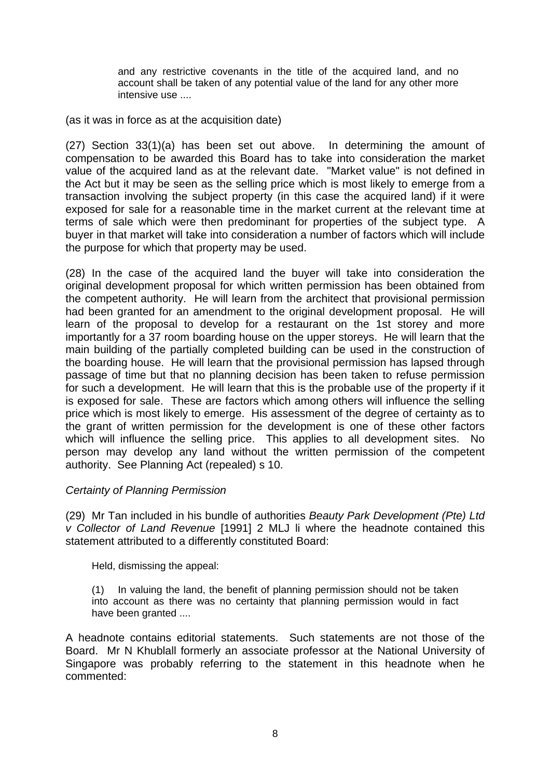and any restrictive covenants in the title of the acquired land, and no account shall be taken of any potential value of the land for any other more intensive use ....

(as it was in force as at the acquisition date)

(27) Section 33(1)(a) has been set out above. In determining the amount of compensation to be awarded this Board has to take into consideration the market value of the acquired land as at the relevant date. "Market value" is not defined in the Act but it may be seen as the selling price which is most likely to emerge from a transaction involving the subject property (in this case the acquired land) if it were exposed for sale for a reasonable time in the market current at the relevant time at terms of sale which were then predominant for properties of the subject type. A buyer in that market will take into consideration a number of factors which will include the purpose for which that property may be used.

(28) In the case of the acquired land the buyer will take into consideration the original development proposal for which written permission has been obtained from the competent authority. He will learn from the architect that provisional permission had been granted for an amendment to the original development proposal. He will learn of the proposal to develop for a restaurant on the 1st storey and more importantly for a 37 room boarding house on the upper storeys. He will learn that the main building of the partially completed building can be used in the construction of the boarding house. He will learn that the provisional permission has lapsed through passage of time but that no planning decision has been taken to refuse permission for such a development. He will learn that this is the probable use of the property if it is exposed for sale. These are factors which among others will influence the selling price which is most likely to emerge. His assessment of the degree of certainty as to the grant of written permission for the development is one of these other factors which will influence the selling price. This applies to all development sites. No person may develop any land without the written permission of the competent authority. See Planning Act (repealed) s 10.

### *Certainty of Planning Permission*

(29) Mr Tan included in his bundle of authorities *Beauty Park Development (Pte) Ltd v Collector of Land Revenue* [1991] 2 MLJ li where the headnote contained this statement attributed to a differently constituted Board:

Held, dismissing the appeal:

(1) In valuing the land, the benefit of planning permission should not be taken into account as there was no certainty that planning permission would in fact have been granted ....

A headnote contains editorial statements. Such statements are not those of the Board. Mr N Khublall formerly an associate professor at the National University of Singapore was probably referring to the statement in this headnote when he commented: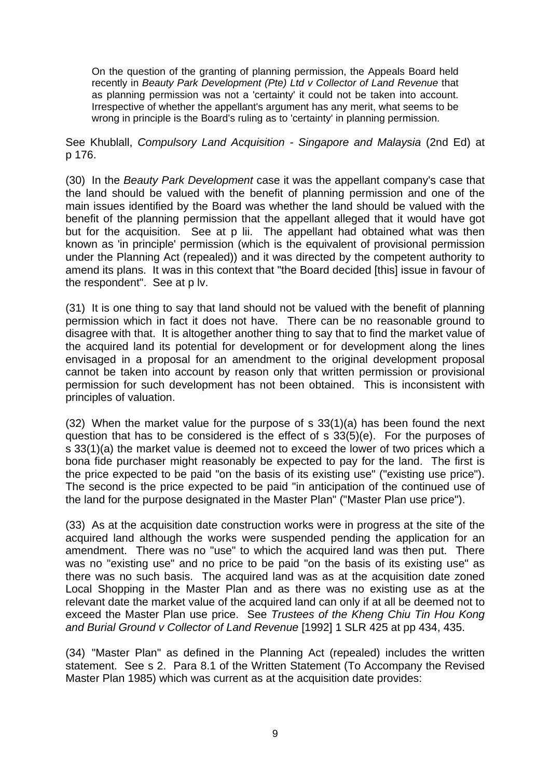On the question of the granting of planning permission, the Appeals Board held recently in *Beauty Park Development (Pte) Ltd v Collector of Land Revenue* that as planning permission was not a 'certainty' it could not be taken into account. Irrespective of whether the appellant's argument has any merit, what seems to be wrong in principle is the Board's ruling as to 'certainty' in planning permission.

See Khublall, *Compulsory Land Acquisition - Singapore and Malaysia* (2nd Ed) at p 176.

(30) In the *Beauty Park Development* case it was the appellant company's case that the land should be valued with the benefit of planning permission and one of the main issues identified by the Board was whether the land should be valued with the benefit of the planning permission that the appellant alleged that it would have got but for the acquisition. See at p lii. The appellant had obtained what was then known as 'in principle' permission (which is the equivalent of provisional permission under the Planning Act (repealed)) and it was directed by the competent authority to amend its plans. It was in this context that "the Board decided [this] issue in favour of the respondent". See at p lv.

(31) It is one thing to say that land should not be valued with the benefit of planning permission which in fact it does not have. There can be no reasonable ground to disagree with that. It is altogether another thing to say that to find the market value of the acquired land its potential for development or for development along the lines envisaged in a proposal for an amendment to the original development proposal cannot be taken into account by reason only that written permission or provisional permission for such development has not been obtained. This is inconsistent with principles of valuation.

(32) When the market value for the purpose of s 33(1)(a) has been found the next question that has to be considered is the effect of s 33(5)(e). For the purposes of s 33(1)(a) the market value is deemed not to exceed the lower of two prices which a bona fide purchaser might reasonably be expected to pay for the land. The first is the price expected to be paid "on the basis of its existing use" ("existing use price"). The second is the price expected to be paid "in anticipation of the continued use of the land for the purpose designated in the Master Plan" ("Master Plan use price").

(33) As at the acquisition date construction works were in progress at the site of the acquired land although the works were suspended pending the application for an amendment. There was no "use" to which the acquired land was then put. There was no "existing use" and no price to be paid "on the basis of its existing use" as there was no such basis. The acquired land was as at the acquisition date zoned Local Shopping in the Master Plan and as there was no existing use as at the relevant date the market value of the acquired land can only if at all be deemed not to exceed the Master Plan use price. See *Trustees of the Kheng Chiu Tin Hou Kong and Burial Ground v Collector of Land Revenue* [1992] 1 SLR 425 at pp 434, 435.

(34) "Master Plan" as defined in the Planning Act (repealed) includes the written statement. See s 2. Para 8.1 of the Written Statement (To Accompany the Revised Master Plan 1985) which was current as at the acquisition date provides: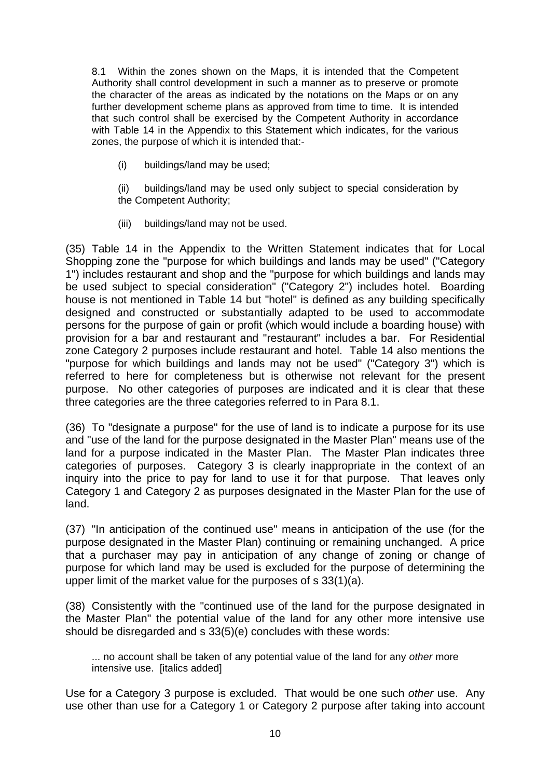8.1 Within the zones shown on the Maps, it is intended that the Competent Authority shall control development in such a manner as to preserve or promote the character of the areas as indicated by the notations on the Maps or on any further development scheme plans as approved from time to time. It is intended that such control shall be exercised by the Competent Authority in accordance with Table 14 in the Appendix to this Statement which indicates, for the various zones, the purpose of which it is intended that:-

(i) buildings/land may be used;

 (ii) buildings/land may be used only subject to special consideration by the Competent Authority;

(iii) buildings/land may not be used.

(35) Table 14 in the Appendix to the Written Statement indicates that for Local Shopping zone the "purpose for which buildings and lands may be used" ("Category 1") includes restaurant and shop and the "purpose for which buildings and lands may be used subject to special consideration" ("Category 2") includes hotel. Boarding house is not mentioned in Table 14 but "hotel" is defined as any building specifically designed and constructed or substantially adapted to be used to accommodate persons for the purpose of gain or profit (which would include a boarding house) with provision for a bar and restaurant and "restaurant" includes a bar. For Residential zone Category 2 purposes include restaurant and hotel. Table 14 also mentions the "purpose for which buildings and lands may not be used" ("Category 3") which is referred to here for completeness but is otherwise not relevant for the present purpose. No other categories of purposes are indicated and it is clear that these three categories are the three categories referred to in Para 8.1.

(36) To "designate a purpose" for the use of land is to indicate a purpose for its use and "use of the land for the purpose designated in the Master Plan" means use of the land for a purpose indicated in the Master Plan. The Master Plan indicates three categories of purposes. Category 3 is clearly inappropriate in the context of an inquiry into the price to pay for land to use it for that purpose. That leaves only Category 1 and Category 2 as purposes designated in the Master Plan for the use of land.

(37) "In anticipation of the continued use" means in anticipation of the use (for the purpose designated in the Master Plan) continuing or remaining unchanged. A price that a purchaser may pay in anticipation of any change of zoning or change of purpose for which land may be used is excluded for the purpose of determining the upper limit of the market value for the purposes of s 33(1)(a).

(38) Consistently with the "continued use of the land for the purpose designated in the Master Plan" the potential value of the land for any other more intensive use should be disregarded and s 33(5)(e) concludes with these words:

... no account shall be taken of any potential value of the land for any *other* more intensive use. [italics added]

Use for a Category 3 purpose is excluded. That would be one such *other* use. Any use other than use for a Category 1 or Category 2 purpose after taking into account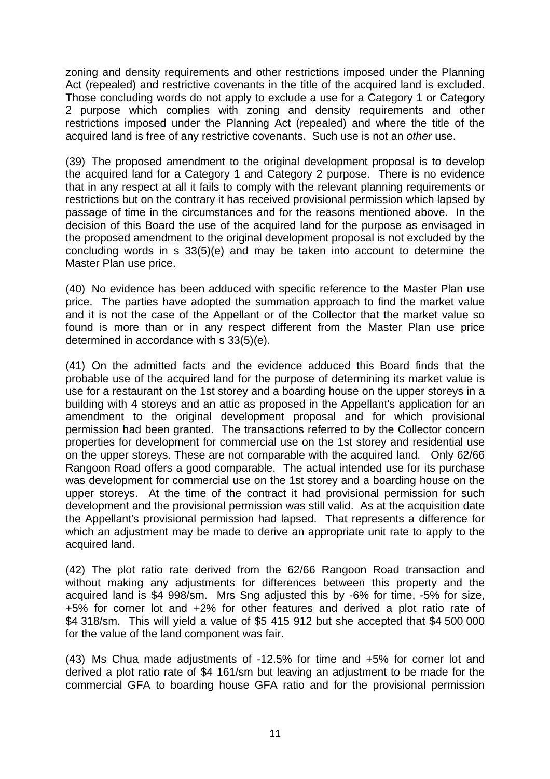zoning and density requirements and other restrictions imposed under the Planning Act (repealed) and restrictive covenants in the title of the acquired land is excluded. Those concluding words do not apply to exclude a use for a Category 1 or Category 2 purpose which complies with zoning and density requirements and other restrictions imposed under the Planning Act (repealed) and where the title of the acquired land is free of any restrictive covenants. Such use is not an *other* use.

(39) The proposed amendment to the original development proposal is to develop the acquired land for a Category 1 and Category 2 purpose. There is no evidence that in any respect at all it fails to comply with the relevant planning requirements or restrictions but on the contrary it has received provisional permission which lapsed by passage of time in the circumstances and for the reasons mentioned above. In the decision of this Board the use of the acquired land for the purpose as envisaged in the proposed amendment to the original development proposal is not excluded by the concluding words in s 33(5)(e) and may be taken into account to determine the Master Plan use price.

(40) No evidence has been adduced with specific reference to the Master Plan use price. The parties have adopted the summation approach to find the market value and it is not the case of the Appellant or of the Collector that the market value so found is more than or in any respect different from the Master Plan use price determined in accordance with s 33(5)(e).

(41) On the admitted facts and the evidence adduced this Board finds that the probable use of the acquired land for the purpose of determining its market value is use for a restaurant on the 1st storey and a boarding house on the upper storeys in a building with 4 storeys and an attic as proposed in the Appellant's application for an amendment to the original development proposal and for which provisional permission had been granted. The transactions referred to by the Collector concern properties for development for commercial use on the 1st storey and residential use on the upper storeys. These are not comparable with the acquired land. Only 62/66 Rangoon Road offers a good comparable. The actual intended use for its purchase was development for commercial use on the 1st storey and a boarding house on the upper storeys. At the time of the contract it had provisional permission for such development and the provisional permission was still valid. As at the acquisition date the Appellant's provisional permission had lapsed. That represents a difference for which an adjustment may be made to derive an appropriate unit rate to apply to the acquired land.

(42) The plot ratio rate derived from the 62/66 Rangoon Road transaction and without making any adjustments for differences between this property and the acquired land is \$4 998/sm. Mrs Sng adjusted this by -6% for time, -5% for size, +5% for corner lot and +2% for other features and derived a plot ratio rate of \$4 318/sm. This will yield a value of \$5 415 912 but she accepted that \$4 500 000 for the value of the land component was fair.

(43) Ms Chua made adjustments of -12.5% for time and +5% for corner lot and derived a plot ratio rate of \$4 161/sm but leaving an adjustment to be made for the commercial GFA to boarding house GFA ratio and for the provisional permission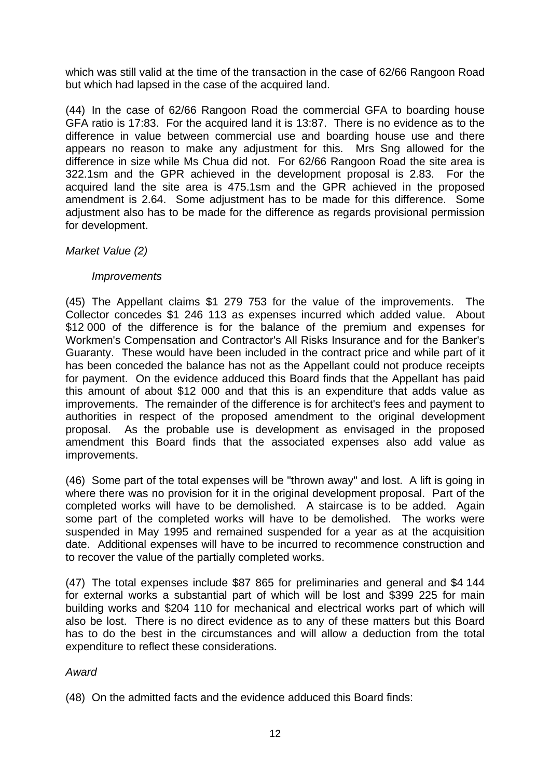which was still valid at the time of the transaction in the case of 62/66 Rangoon Road but which had lapsed in the case of the acquired land.

(44) In the case of 62/66 Rangoon Road the commercial GFA to boarding house GFA ratio is 17:83. For the acquired land it is 13:87. There is no evidence as to the difference in value between commercial use and boarding house use and there appears no reason to make any adjustment for this. Mrs Sng allowed for the difference in size while Ms Chua did not. For 62/66 Rangoon Road the site area is 322.1sm and the GPR achieved in the development proposal is 2.83. For the acquired land the site area is 475.1sm and the GPR achieved in the proposed amendment is 2.64. Some adjustment has to be made for this difference. Some adjustment also has to be made for the difference as regards provisional permission for development.

### *Market Value (2)*

## *Improvements*

(45) The Appellant claims \$1 279 753 for the value of the improvements. The Collector concedes \$1 246 113 as expenses incurred which added value. About \$12 000 of the difference is for the balance of the premium and expenses for Workmen's Compensation and Contractor's All Risks Insurance and for the Banker's Guaranty. These would have been included in the contract price and while part of it has been conceded the balance has not as the Appellant could not produce receipts for payment. On the evidence adduced this Board finds that the Appellant has paid this amount of about \$12 000 and that this is an expenditure that adds value as improvements. The remainder of the difference is for architect's fees and payment to authorities in respect of the proposed amendment to the original development proposal. As the probable use is development as envisaged in the proposed amendment this Board finds that the associated expenses also add value as improvements.

(46) Some part of the total expenses will be "thrown away" and lost. A lift is going in where there was no provision for it in the original development proposal. Part of the completed works will have to be demolished. A staircase is to be added. Again some part of the completed works will have to be demolished. The works were suspended in May 1995 and remained suspended for a year as at the acquisition date. Additional expenses will have to be incurred to recommence construction and to recover the value of the partially completed works.

(47) The total expenses include \$87 865 for preliminaries and general and \$4 144 for external works a substantial part of which will be lost and \$399 225 for main building works and \$204 110 for mechanical and electrical works part of which will also be lost. There is no direct evidence as to any of these matters but this Board has to do the best in the circumstances and will allow a deduction from the total expenditure to reflect these considerations.

### *Award*

(48) On the admitted facts and the evidence adduced this Board finds: